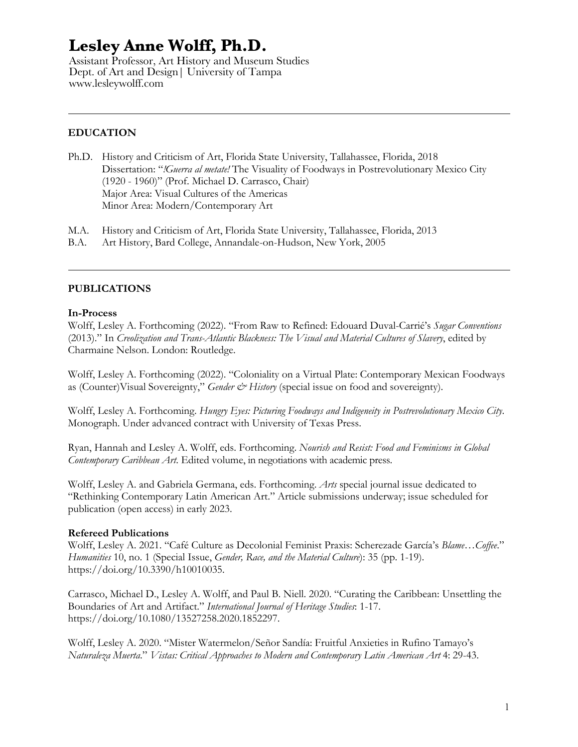Assistant Professor, Art History and Museum Studies Dept. of Art and Design| University of Tampa www.lesleywolff.com

## **EDUCATION**

- Ph.D. History and Criticism of Art, Florida State University, Tallahassee, Florida, 2018 Dissertation: "*!Guerra al metate!* The Visuality of Foodways in Postrevolutionary Mexico City (1920 - 1960)" (Prof. Michael D. Carrasco, Chair) Major Area: Visual Cultures of the Americas Minor Area: Modern/Contemporary Art
- M.A. History and Criticism of Art, Florida State University, Tallahassee, Florida, 2013
- B.A. Art History, Bard College, Annandale-on-Hudson, New York, 2005

#### **PUBLICATIONS**

#### **In-Process**

Wolff, Lesley A. Forthcoming (2022). "From Raw to Refined: Edouard Duval-Carrié's *Sugar Conventions* (2013)." In *Creolization and Trans-Atlantic Blackness: The Visual and Material Cultures of Slavery*, edited by Charmaine Nelson. London: Routledge.

Wolff, Lesley A. Forthcoming (2022). "Coloniality on a Virtual Plate: Contemporary Mexican Foodways as (Counter)Visual Sovereignty," *Gender & History* (special issue on food and sovereignty).

Wolff, Lesley A. Forthcoming. *Hungry Eyes: Picturing Foodways and Indigeneity in Postrevolutionary Mexico City*. Monograph. Under advanced contract with University of Texas Press.

Ryan, Hannah and Lesley A. Wolff, eds. Forthcoming. *Nourish and Resist: Food and Feminisms in Global Contemporary Caribbean Art*. Edited volume, in negotiations with academic press.

Wolff, Lesley A. and Gabriela Germana, eds. Forthcoming. *Arts* special journal issue dedicated to "Rethinking Contemporary Latin American Art." Article submissions underway; issue scheduled for publication (open access) in early 2023.

#### **Refereed Publications**

Wolff, Lesley A. 2021. "Café Culture as Decolonial Feminist Praxis: Scherezade García's *Blame…Coffee*." *Humanities* 10, no. 1 (Special Issue, *Gender, Race, and the Material Culture*): 35 (pp. 1-19). https://doi.org/10.3390/h10010035.

Carrasco, Michael D., Lesley A. Wolff, and Paul B. Niell. 2020. "Curating the Caribbean: Unsettling the Boundaries of Art and Artifact." *International Journal of Heritage Studies*: 1-17. https://doi.org/10.1080/13527258.2020.1852297.

Wolff, Lesley A. 2020. "Mister Watermelon/Señor Sandía: Fruitful Anxieties in Rufino Tamayo's *Naturaleza Muerta*." *Vistas: Critical Approaches to Modern and Contemporary Latin American Art* 4: 29-43.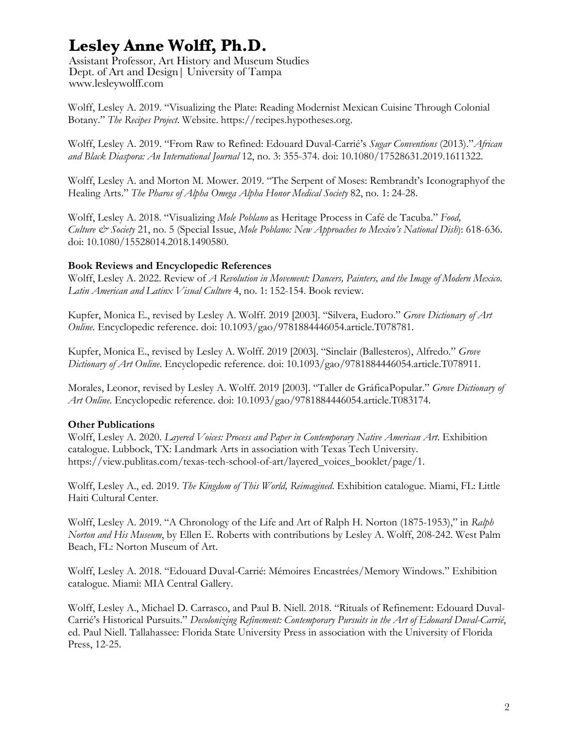Assistant Professor, Art History and Museum Studies Dept. of Art and Design| University of Tampa www.lesleywolff.com

Wolff, Lesley A. 2019. "Visualizing the Plate: Reading Modernist Mexican Cuisine Through Colonial Botany." *The Recipes Project*. Website. https://recipes.hypotheses.org.

Wolff, Lesley A. 2019. "From Raw to Refined: Edouard Duval-Carrié's *Sugar Conventions* (2013)."*African and Black Diaspora: An International Journal* 12, no. 3: 355-374. doi: 10.1080/17528631.2019.1611322.

Wolff, Lesley A. and Morton M. Mower. 2019. "The Serpent of Moses: Rembrandt's Iconographyof the Healing Arts." *The Pharos of Alpha Omega Alpha Honor Medical Society* 82, no. 1: 24-28.

Wolff, Lesley A. 2018. "Visualizing *Mole Poblano* as Heritage Process in Café de Tacuba." *Food, Culture & Society* 21, no. 5 (Special Issue, *Mole Poblano: New Approaches to Mexico's National Dish*): 618-636. doi: 10.1080/15528014.2018.1490580.

### **Book Reviews and Encyclopedic References**

Wolff, Lesley A. 2022. Review of *A Revolution in Movement: Dancers, Painters, and the Image of Modern Mexico*. *Latin American and Latinx Visual Culture* 4, no. 1: 152-154. Book review.

Kupfer, Monica E., revised by Lesley A. Wolff. 2019 [2003]. "Silvera, Eudoro." *Grove Dictionary of Art Online*. Encyclopedic reference. doi: 10.1093/gao/9781884446054.article.T078781.

Kupfer, Monica E., revised by Lesley A. Wolff. 2019 [2003]. "Sinclair (Ballesteros), Alfredo." *Grove Dictionary of Art Online*. Encyclopedic reference. doi: 10.1093/gao/9781884446054.article.T078911.

Morales, Leonor, revised by Lesley A. Wolff. 2019 [2003]. "Taller de GráficaPopular." *Grove Dictionary of Art Online*. Encyclopedic reference. doi: 10.1093/gao/9781884446054.article.T083174.

### **Other Publications**

Wolff, Lesley A. 2020. *Layered Voices: Process and Paper in Contemporary Native American Art*. Exhibition catalogue. Lubbock, TX: Landmark Arts in association with Texas Tech University. https://view.publitas.com/texas-tech-school-of-art/layered\_voices\_booklet/page/1.

Wolff, Lesley A., ed. 2019. *The Kingdom of This World, Reimagined*. Exhibition catalogue. Miami, FL: Little Haiti Cultural Center.

Wolff, Lesley A. 2019. "A Chronology of the Life and Art of Ralph H. Norton (1875-1953)," in *Ralph Norton and His Museum*, by Ellen E. Roberts with contributions by Lesley A. Wolff, 208-242. West Palm Beach, FL: Norton Museum of Art.

Wolff, Lesley A. 2018. "Edouard Duval-Carrié: Mémoires Encastrées/Memory Windows." Exhibition catalogue. Miami: MIA Central Gallery.

Wolff, Lesley A., Michael D. Carrasco, and Paul B. Niell. 2018. "Rituals of Refinement: Edouard Duval-Carrié's Historical Pursuits." *Decolonizing Refinement: Contemporary Pursuits in the Art of Edouard Duval-Carrié*, ed. Paul Niell. Tallahassee: Florida State University Press in association with the University of Florida Press, 12-25.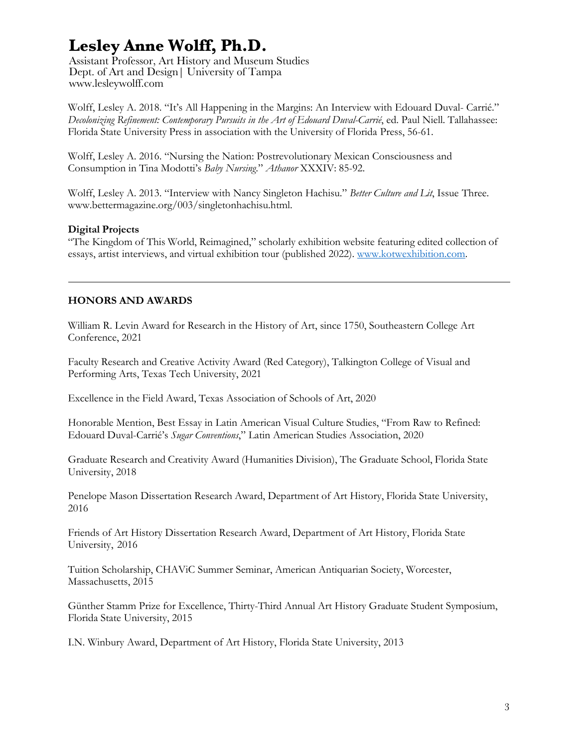Assistant Professor, Art History and Museum Studies Dept. of Art and Design| University of Tampa www.lesleywolff.com

Wolff, Lesley A. 2018. "It's All Happening in the Margins: An Interview with Edouard Duval- Carrié." *Decolonizing Refinement: Contemporary Pursuits in the Art of Edouard Duval-Carrié*, ed. Paul Niell. Tallahassee: Florida State University Press in association with the University of Florida Press, 56-61.

Wolff, Lesley A. 2016. "Nursing the Nation: Postrevolutionary Mexican Consciousness and Consumption in Tina Modotti's *Baby Nursing*." *Athanor* XXXIV: 85-92.

Wolff, Lesley A. 2013. "Interview with Nancy Singleton Hachisu." *Better Culture and Lit*, Issue Three. www.bettermagazine.org/003/singletonhachisu.html.

### **Digital Projects**

"The Kingdom of This World, Reimagined," scholarly exhibition website featuring edited collection of essays, artist interviews, and virtual exhibition tour (published 2022). www.kotwexhibition.com.

## **HONORS AND AWARDS**

William R. Levin Award for Research in the History of Art, since 1750, Southeastern College Art Conference, 2021

Faculty Research and Creative Activity Award (Red Category), Talkington College of Visual and Performing Arts, Texas Tech University, 2021

Excellence in the Field Award, Texas Association of Schools of Art, 2020

Honorable Mention, Best Essay in Latin American Visual Culture Studies, "From Raw to Refined: Edouard Duval-Carrié's *Sugar Conventions*," Latin American Studies Association, 2020

Graduate Research and Creativity Award (Humanities Division), The Graduate School, Florida State University, 2018

Penelope Mason Dissertation Research Award, Department of Art History, Florida State University, 2016

Friends of Art History Dissertation Research Award, Department of Art History, Florida State University, 2016

Tuition Scholarship, CHAViC Summer Seminar, American Antiquarian Society, Worcester, Massachusetts, 2015

Günther Stamm Prize for Excellence, Thirty-Third Annual Art History Graduate Student Symposium, Florida State University, 2015

I.N. Winbury Award, Department of Art History, Florida State University, 2013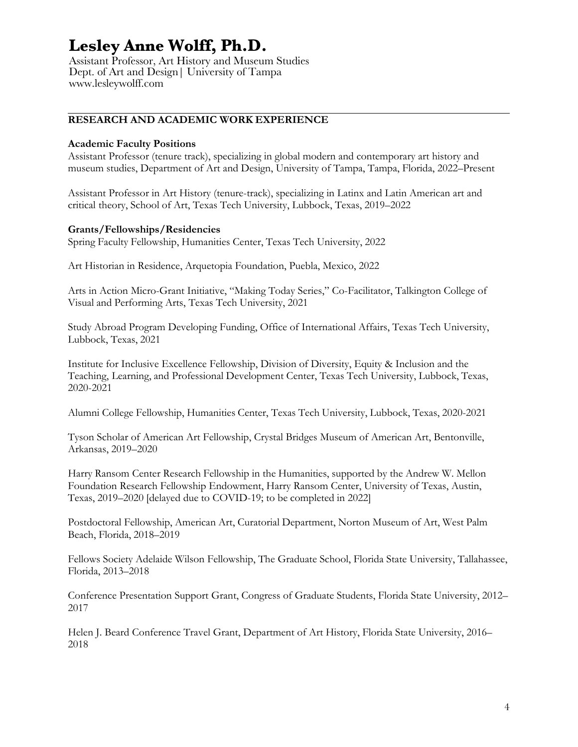Assistant Professor, Art History and Museum Studies Dept. of Art and Design| University of Tampa www.lesleywolff.com

## **RESEARCH AND ACADEMIC WORK EXPERIENCE**

#### **Academic Faculty Positions**

Assistant Professor (tenure track), specializing in global modern and contemporary art history and museum studies, Department of Art and Design, University of Tampa, Tampa, Florida, 2022–Present

Assistant Professor in Art History (tenure-track), specializing in Latinx and Latin American art and critical theory, School of Art, Texas Tech University, Lubbock, Texas, 2019–2022

#### **Grants/Fellowships/Residencies**

Spring Faculty Fellowship, Humanities Center, Texas Tech University, 2022

Art Historian in Residence, Arquetopia Foundation, Puebla, Mexico, 2022

Arts in Action Micro-Grant Initiative, "Making Today Series," Co-Facilitator, Talkington College of Visual and Performing Arts, Texas Tech University, 2021

Study Abroad Program Developing Funding, Office of International Affairs, Texas Tech University, Lubbock, Texas, 2021

Institute for Inclusive Excellence Fellowship, Division of Diversity, Equity & Inclusion and the Teaching, Learning, and Professional Development Center, Texas Tech University, Lubbock, Texas, 2020-2021

Alumni College Fellowship, Humanities Center, Texas Tech University, Lubbock, Texas, 2020-2021

Tyson Scholar of American Art Fellowship, Crystal Bridges Museum of American Art, Bentonville, Arkansas, 2019–2020

Harry Ransom Center Research Fellowship in the Humanities, supported by the Andrew W. Mellon Foundation Research Fellowship Endowment, Harry Ransom Center, University of Texas, Austin, Texas, 2019–2020 [delayed due to COVID-19; to be completed in 2022]

Postdoctoral Fellowship, American Art, Curatorial Department, Norton Museum of Art, West Palm Beach, Florida, 2018–2019

Fellows Society Adelaide Wilson Fellowship, The Graduate School, Florida State University, Tallahassee, Florida, 2013–2018

Conference Presentation Support Grant, Congress of Graduate Students, Florida State University, 2012– 2017

Helen J. Beard Conference Travel Grant, Department of Art History, Florida State University, 2016– 2018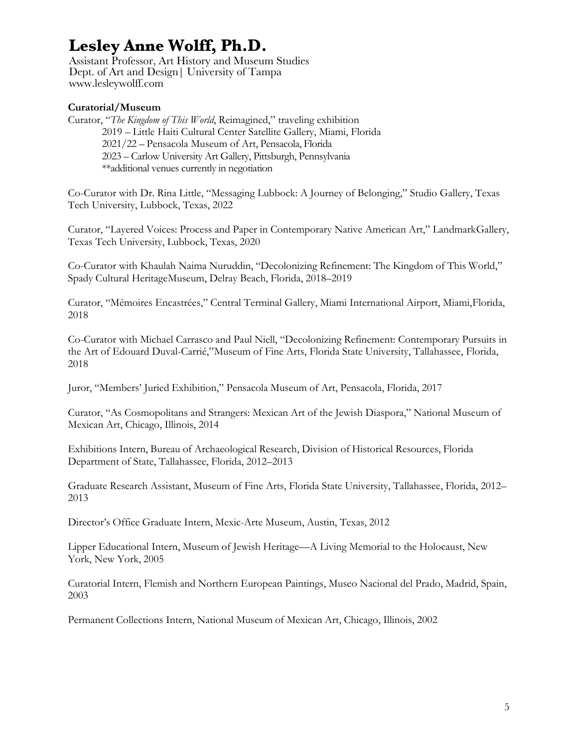Assistant Professor, Art History and Museum Studies Dept. of Art and Design| University of Tampa www.lesleywolff.com

## **Curatorial/Museum**

Curator, "*The Kingdom of This World*, Reimagined," traveling exhibition 2019 – Little Haiti Cultural Center Satellite Gallery, Miami, Florida 2021/22 – Pensacola Museum of Art, Pensacola, Florida 2023 – Carlow University Art Gallery, Pittsburgh, Pennsylvania \*\*additional venues currently in negotiation

Co-Curator with Dr. Rina Little, "Messaging Lubbock: A Journey of Belonging," Studio Gallery, Texas Tech University, Lubbock, Texas, 2022

Curator, "Layered Voices: Process and Paper in Contemporary Native American Art," LandmarkGallery, Texas Tech University, Lubbock, Texas, 2020

Co-Curator with Khaulah Naima Nuruddin, "Decolonizing Refinement: The Kingdom of This World," Spady Cultural HeritageMuseum, Delray Beach, Florida, 2018–2019

Curator, "Mémoires Encastrées," Central Terminal Gallery, Miami International Airport, Miami,Florida, 2018

Co-Curator with Michael Carrasco and Paul Niell, "Decolonizing Refinement: Contemporary Pursuits in the Art of Edouard Duval-Carrié,"Museum of Fine Arts, Florida State University, Tallahassee, Florida, 2018

Juror, "Members' Juried Exhibition," Pensacola Museum of Art, Pensacola, Florida, 2017

Curator, "As Cosmopolitans and Strangers: Mexican Art of the Jewish Diaspora," National Museum of Mexican Art, Chicago, Illinois, 2014

Exhibitions Intern, Bureau of Archaeological Research, Division of Historical Resources, Florida Department of State, Tallahassee, Florida, 2012–2013

Graduate Research Assistant, Museum of Fine Arts, Florida State University, Tallahassee, Florida, 2012– 2013

Director's Office Graduate Intern, Mexic-Arte Museum, Austin, Texas, 2012

Lipper Educational Intern, Museum of Jewish Heritage—A Living Memorial to the Holocaust, New York, New York, 2005

Curatorial Intern, Flemish and Northern European Paintings, Museo Nacional del Prado, Madrid, Spain, 2003

Permanent Collections Intern, National Museum of Mexican Art, Chicago, Illinois, 2002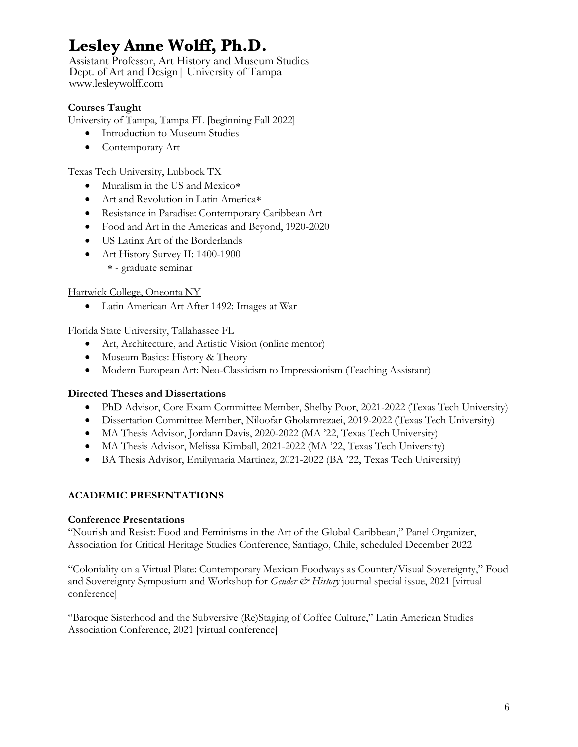Assistant Professor, Art History and Museum Studies Dept. of Art and Design| University of Tampa www.lesleywolff.com

## **Courses Taught**

University of Tampa, Tampa FL [beginning Fall 2022]

- Introduction to Museum Studies
- Contemporary Art

### Texas Tech University, Lubbock TX

- Muralism in the US and Mexico\*
- Art and Revolution in Latin America\*
- Resistance in Paradise: Contemporary Caribbean Art
- Food and Art in the Americas and Beyond, 1920-2020
- US Latinx Art of the Borderlands
- Art History Survey II: 1400-1900
	- \* graduate seminar

## Hartwick College, Oneonta NY

• Latin American Art After 1492: Images at War

### Florida State University, Tallahassee FL

- Art, Architecture, and Artistic Vision (online mentor)
- Museum Basics: History & Theory
- Modern European Art: Neo-Classicism to Impressionism (Teaching Assistant)

## **Directed Theses and Dissertations**

- PhD Advisor, Core Exam Committee Member, Shelby Poor, 2021-2022 (Texas Tech University)
- Dissertation Committee Member, Niloofar Gholamrezaei, 2019-2022 (Texas Tech University)
- MA Thesis Advisor, Jordann Davis, 2020-2022 (MA '22, Texas Tech University)
- MA Thesis Advisor, Melissa Kimball, 2021-2022 (MA '22, Texas Tech University)
- BA Thesis Advisor, Emilymaria Martinez, 2021-2022 (BA '22, Texas Tech University)

## **ACADEMIC PRESENTATIONS**

### **Conference Presentations**

"Nourish and Resist: Food and Feminisms in the Art of the Global Caribbean," Panel Organizer, Association for Critical Heritage Studies Conference, Santiago, Chile, scheduled December 2022

"Coloniality on a Virtual Plate: Contemporary Mexican Foodways as Counter/Visual Sovereignty," Food and Sovereignty Symposium and Workshop for *Gender & History* journal special issue, 2021 [virtual conference]

"Baroque Sisterhood and the Subversive (Re)Staging of Coffee Culture," Latin American Studies Association Conference, 2021 [virtual conference]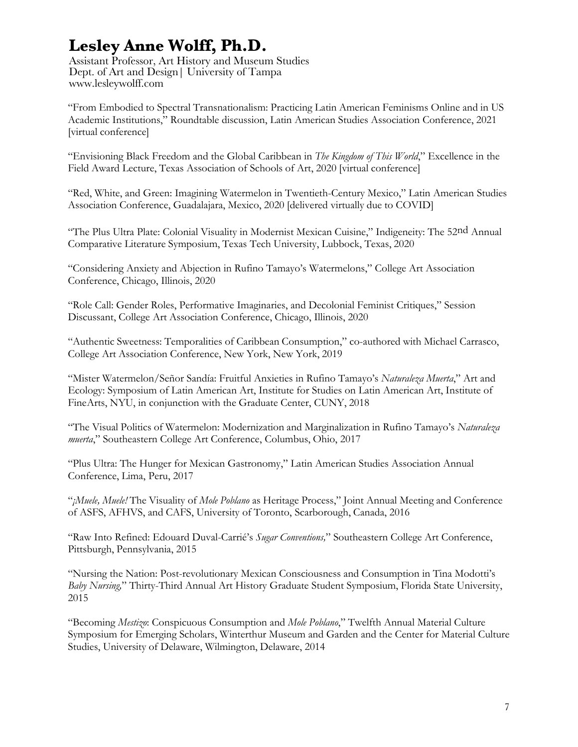Assistant Professor, Art History and Museum Studies Dept. of Art and Design| University of Tampa www.lesleywolff.com

"From Embodied to Spectral Transnationalism: Practicing Latin American Feminisms Online and in US Academic Institutions," Roundtable discussion, Latin American Studies Association Conference, 2021 [virtual conference]

"Envisioning Black Freedom and the Global Caribbean in *The Kingdom of This World*," Excellence in the Field Award Lecture, Texas Association of Schools of Art, 2020 [virtual conference]

"Red, White, and Green: Imagining Watermelon in Twentieth-Century Mexico," Latin American Studies Association Conference, Guadalajara, Mexico, 2020 [delivered virtually due to COVID]

"The Plus Ultra Plate: Colonial Visuality in Modernist Mexican Cuisine," Indigeneity: The 52nd Annual Comparative Literature Symposium, Texas Tech University, Lubbock, Texas, 2020

"Considering Anxiety and Abjection in Rufino Tamayo's Watermelons," College Art Association Conference, Chicago, Illinois, 2020

"Role Call: Gender Roles, Performative Imaginaries, and Decolonial Feminist Critiques," Session Discussant, College Art Association Conference, Chicago, Illinois, 2020

"Authentic Sweetness: Temporalities of Caribbean Consumption," co-authored with Michael Carrasco, College Art Association Conference, New York, New York, 2019

"Mister Watermelon/Señor Sandía: Fruitful Anxieties in Rufino Tamayo's *Naturaleza Muerta*," Art and Ecology: Symposium of Latin American Art, Institute for Studies on Latin American Art, Institute of FineArts, NYU, in conjunction with the Graduate Center, CUNY, 2018

"The Visual Politics of Watermelon: Modernization and Marginalization in Rufino Tamayo's *Naturaleza muerta*," Southeastern College Art Conference, Columbus, Ohio, 2017

"Plus Ultra: The Hunger for Mexican Gastronomy," Latin American Studies Association Annual Conference, Lima, Peru, 2017

"*¡Muele, Muele!* The Visuality of *Mole Poblano* as Heritage Process," Joint Annual Meeting and Conference of ASFS, AFHVS, and CAFS, University of Toronto, Scarborough, Canada, 2016

"Raw Into Refined: Edouard Duval-Carrié's *Sugar Conventions,*" Southeastern College Art Conference, Pittsburgh, Pennsylvania, 2015

"Nursing the Nation: Post-revolutionary Mexican Consciousness and Consumption in Tina Modotti's *Baby Nursing,*" Thirty-Third Annual Art History Graduate Student Symposium, Florida State University, 2015

"Becoming *Mestizo*: Conspicuous Consumption and *Mole Poblano*," Twelfth Annual Material Culture Symposium for Emerging Scholars, Winterthur Museum and Garden and the Center for Material Culture Studies, University of Delaware, Wilmington, Delaware, 2014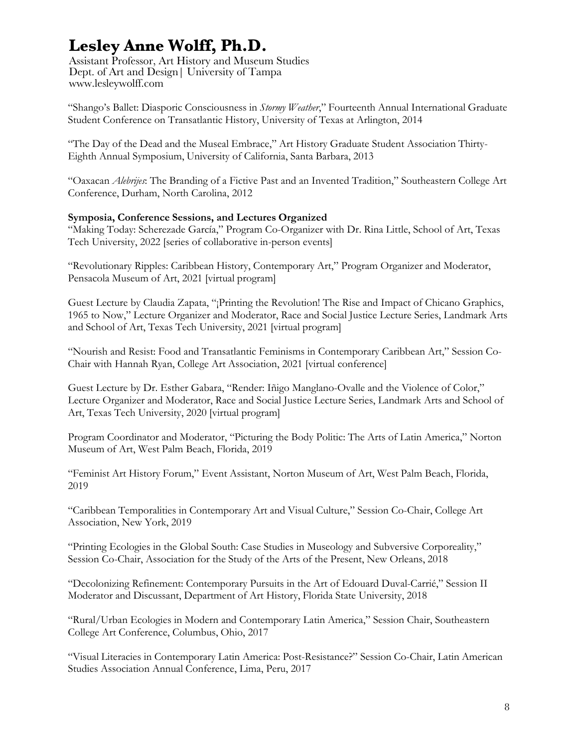Assistant Professor, Art History and Museum Studies Dept. of Art and Design| University of Tampa www.lesleywolff.com

"Shango's Ballet: Diasporic Consciousness in *Stormy Weather*," Fourteenth Annual International Graduate Student Conference on Transatlantic History, University of Texas at Arlington, 2014

"The Day of the Dead and the Museal Embrace," Art History Graduate Student Association Thirty-Eighth Annual Symposium, University of California, Santa Barbara, 2013

"Oaxacan *Alebrijes*: The Branding of a Fictive Past and an Invented Tradition," Southeastern College Art Conference, Durham, North Carolina, 2012

### **Symposia, Conference Sessions, and Lectures Organized**

"Making Today: Scherezade García," Program Co-Organizer with Dr. Rina Little, School of Art, Texas Tech University, 2022 [series of collaborative in-person events]

"Revolutionary Ripples: Caribbean History, Contemporary Art," Program Organizer and Moderator, Pensacola Museum of Art, 2021 [virtual program]

Guest Lecture by Claudia Zapata, "¡Printing the Revolution! The Rise and Impact of Chicano Graphics, 1965 to Now," Lecture Organizer and Moderator, Race and Social Justice Lecture Series, Landmark Arts and School of Art, Texas Tech University, 2021 [virtual program]

"Nourish and Resist: Food and Transatlantic Feminisms in Contemporary Caribbean Art," Session Co-Chair with Hannah Ryan, College Art Association, 2021 [virtual conference]

Guest Lecture by Dr. Esther Gabara, "Render: Iñigo Manglano-Ovalle and the Violence of Color," Lecture Organizer and Moderator, Race and Social Justice Lecture Series, Landmark Arts and School of Art, Texas Tech University, 2020 [virtual program]

Program Coordinator and Moderator, "Picturing the Body Politic: The Arts of Latin America," Norton Museum of Art, West Palm Beach, Florida, 2019

"Feminist Art History Forum," Event Assistant, Norton Museum of Art, West Palm Beach, Florida, 2019

"Caribbean Temporalities in Contemporary Art and Visual Culture," Session Co-Chair, College Art Association, New York, 2019

"Printing Ecologies in the Global South: Case Studies in Museology and Subversive Corporeality," Session Co-Chair, Association for the Study of the Arts of the Present, New Orleans, 2018

"Decolonizing Refinement: Contemporary Pursuits in the Art of Edouard Duval-Carrié," Session II Moderator and Discussant, Department of Art History, Florida State University, 2018

"Rural/Urban Ecologies in Modern and Contemporary Latin America," Session Chair, Southeastern College Art Conference, Columbus, Ohio, 2017

"Visual Literacies in Contemporary Latin America: Post-Resistance?" Session Co-Chair, Latin American Studies Association Annual Conference, Lima, Peru, 2017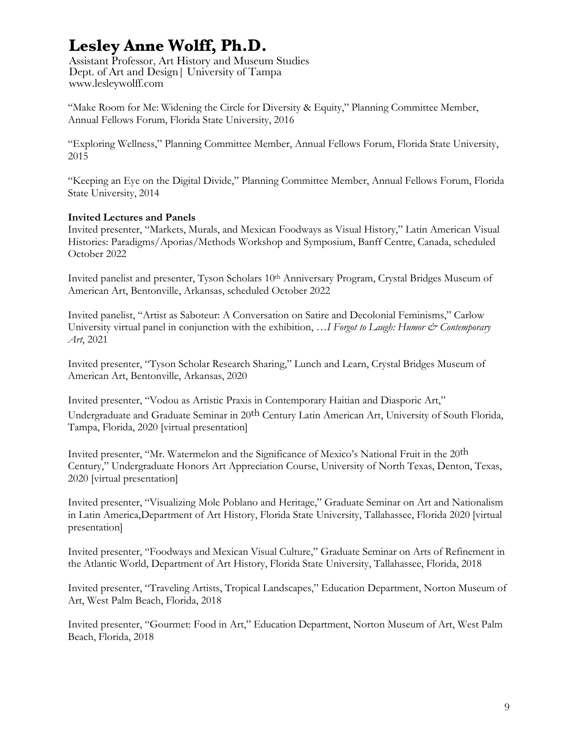Assistant Professor, Art History and Museum Studies Dept. of Art and Design| University of Tampa www.lesleywolff.com

"Make Room for Me: Widening the Circle for Diversity & Equity," Planning Committee Member, Annual Fellows Forum, Florida State University, 2016

"Exploring Wellness," Planning Committee Member, Annual Fellows Forum, Florida State University, 2015

"Keeping an Eye on the Digital Divide," Planning Committee Member, Annual Fellows Forum, Florida State University, 2014

### **Invited Lectures and Panels**

Invited presenter, "Markets, Murals, and Mexican Foodways as Visual History," Latin American Visual Histories: Paradigms/Aporias/Methods Workshop and Symposium, Banff Centre, Canada, scheduled October 2022

Invited panelist and presenter, Tyson Scholars 10<sup>th</sup> Anniversary Program, Crystal Bridges Museum of American Art, Bentonville, Arkansas, scheduled October 2022

Invited panelist, "Artist as Saboteur: A Conversation on Satire and Decolonial Feminisms," Carlow University virtual panel in conjunction with the exhibition, ... I Forgot to Laugh: Humor & Contemporary *Art*, 2021

Invited presenter, "Tyson Scholar Research Sharing," Lunch and Learn, Crystal Bridges Museum of American Art, Bentonville, Arkansas, 2020

Invited presenter, "Vodou as Artistic Praxis in Contemporary Haitian and Diasporic Art," Undergraduate and Graduate Seminar in 20th Century Latin American Art, University of South Florida, Tampa, Florida, 2020 [virtual presentation]

Invited presenter, "Mr. Watermelon and the Significance of Mexico's National Fruit in the 20th Century," Undergraduate Honors Art Appreciation Course, University of North Texas, Denton, Texas, 2020 [virtual presentation]

Invited presenter, "Visualizing Mole Poblano and Heritage," Graduate Seminar on Art and Nationalism in Latin America,Department of Art History, Florida State University, Tallahassee, Florida 2020 [virtual presentation]

Invited presenter, "Foodways and Mexican Visual Culture," Graduate Seminar on Arts of Refinement in the Atlantic World, Department of Art History, Florida State University, Tallahassee, Florida, 2018

Invited presenter, "Traveling Artists, Tropical Landscapes," Education Department, Norton Museum of Art, West Palm Beach, Florida, 2018

Invited presenter, "Gourmet: Food in Art," Education Department, Norton Museum of Art, West Palm Beach, Florida, 2018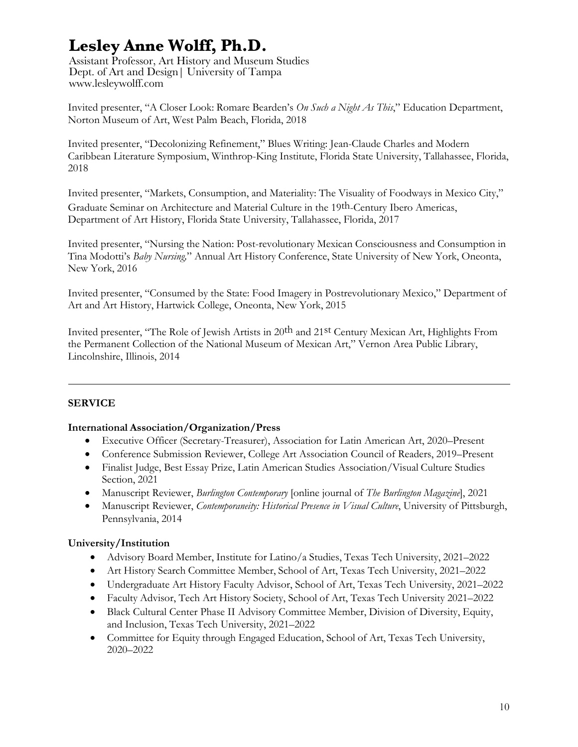Assistant Professor, Art History and Museum Studies Dept. of Art and Design| University of Tampa www.lesleywolff.com

Invited presenter, "A Closer Look: Romare Bearden's *On Such a Night As This*," Education Department, Norton Museum of Art, West Palm Beach, Florida, 2018

Invited presenter, "Decolonizing Refinement," Blues Writing: Jean-Claude Charles and Modern Caribbean Literature Symposium, Winthrop-King Institute, Florida State University, Tallahassee, Florida, 2018

Invited presenter, "Markets, Consumption, and Materiality: The Visuality of Foodways in Mexico City," Graduate Seminar on Architecture and Material Culture in the 19th-Century Ibero Americas, Department of Art History, Florida State University, Tallahassee, Florida, 2017

Invited presenter, "Nursing the Nation: Post-revolutionary Mexican Consciousness and Consumption in Tina Modotti's *Baby Nursing,*" Annual Art History Conference, State University of New York, Oneonta, New York, 2016

Invited presenter, "Consumed by the State: Food Imagery in Postrevolutionary Mexico," Department of Art and Art History, Hartwick College, Oneonta, New York, 2015

Invited presenter, "The Role of Jewish Artists in 20<sup>th</sup> and 21<sup>st</sup> Century Mexican Art, Highlights From the Permanent Collection of the National Museum of Mexican Art," Vernon Area Public Library, Lincolnshire, Illinois, 2014

### **SERVICE**

### **International Association/Organization/Press**

- Executive Officer (Secretary-Treasurer), Association for Latin American Art, 2020–Present
- Conference Submission Reviewer, College Art Association Council of Readers, 2019–Present
- Finalist Judge, Best Essay Prize, Latin American Studies Association/Visual Culture Studies Section, 2021
- Manuscript Reviewer, *Burlington Contemporary* [online journal of *The Burlington Magazine*], 2021
- Manuscript Reviewer, *Contemporaneity: Historical Presence in Visual Culture*, University of Pittsburgh, Pennsylvania, 2014

### **University/Institution**

- Advisory Board Member, Institute for Latino/a Studies, Texas Tech University, 2021–2022
- Art History Search Committee Member, School of Art, Texas Tech University, 2021–2022
- Undergraduate Art History Faculty Advisor, School of Art, Texas Tech University, 2021–2022
- Faculty Advisor, Tech Art History Society, School of Art, Texas Tech University 2021–2022
- Black Cultural Center Phase II Advisory Committee Member, Division of Diversity, Equity, and Inclusion, Texas Tech University, 2021–2022
- Committee for Equity through Engaged Education, School of Art, Texas Tech University, 2020–2022